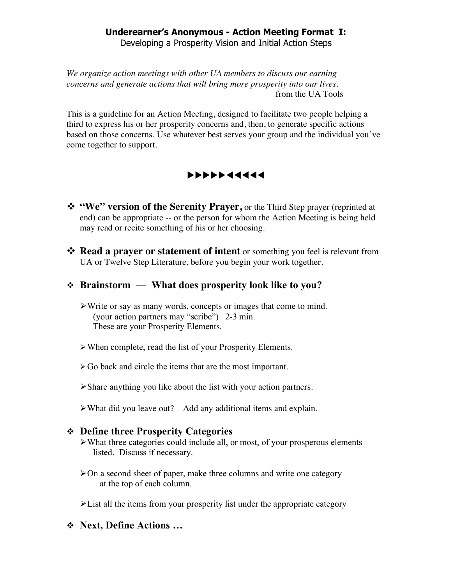# **Underearner's Anonymous - Action Meeting Format I:**

Developing a Prosperity Vision and Initial Action Steps

*We organize action meetings with other UA members to discuss our earning concerns and generate actions that will bring more prosperity into our lives.* from the UA Tools

This is a guideline for an Action Meeting, designed to facilitate two people helping a third to express his or her prosperity concerns and, then, to generate specific actions based on those concerns. Use whatever best serves your group and the individual you've come together to support.



- **"We" version of the Serenity Prayer,** or the Third Step prayer (reprinted at end) can be appropriate -- or the person for whom the Action Meeting is being held may read or recite something of his or her choosing.
- **Read a prayer or statement of intent** or something you feel is relevant from UA or Twelve Step Literature, before you begin your work together.

## **Brainstorm — What does prosperity look like to you?**

- Write or say as many words, concepts or images that come to mind. (your action partners may "scribe") 2-3 min. These are your Prosperity Elements.
- When complete, read the list of your Prosperity Elements.
- Go back and circle the items that are the most important.
- Share anything you like about the list with your action partners.
- What did you leave out? Add any additional items and explain.

### **Define three Prosperity Categories**

- $\triangleright$  What three categories could include all, or most, of your prosperous elements listed. Discuss if necessary.
- $\geq$ On a second sheet of paper, make three columns and write one category at the top of each column.

 $\blacktriangleright$  List all the items from your prosperity list under the appropriate category

**Next, Define Actions …**